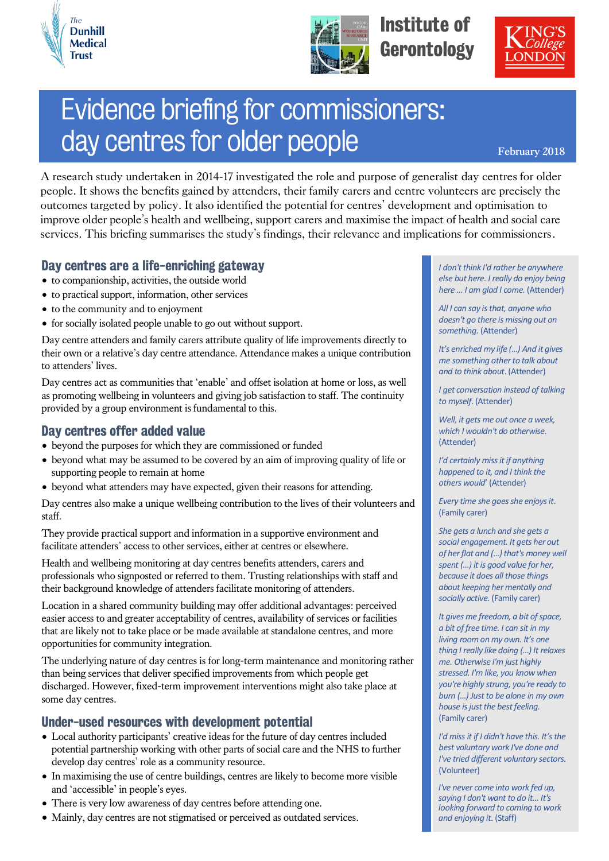



Institute of **Gerontology** 



# Evidence briefing for commissioners: day centres for older people **February 2018**

A research study undertaken in 2014-17 investigated the role and purpose of generalist day centres for older people. It shows the benefits gained by attenders, their family carers and centre volunteers are precisely the outcomes targeted by policy. It also identified the potential for centres' development and optimisation to improve older people's health and wellbeing, support carers and maximise the impact of health and social care services. This briefing summarises the study's findings, their relevance and implications for commissioners.

## Day centres are a life-enriching gateway

- to companionship, activities, the outside world
- to practical support, information, other services
- to the community and to enjoyment
- for socially isolated people unable to go out without support.

Day centre attenders and family carers attribute quality of life improvements directly to their own or a relative's day centre attendance. Attendance makes a unique contribution to attenders' lives.

Day centres act as communities that 'enable' and offset isolation at home or loss, as well as promoting wellbeing in volunteers and giving job satisfaction to staff. The continuity provided by a group environment is fundamental to this.

#### Day centres offer added value

- beyond the purposes for which they are commissioned or funded
- beyond what may be assumed to be covered by an aim of improving quality of life or supporting people to remain at home
- beyond what attenders may have expected, given their reasons for attending.

Day centres also make a unique wellbeing contribution to the lives of their volunteers and staff.

They provide practical support and information in a supportive environment and facilitate attenders' access to other services, either at centres or elsewhere.

Health and wellbeing monitoring at day centres benefits attenders, carers and professionals who signposted or referred to them. Trusting relationships with staff and their background knowledge of attenders facilitate monitoring of attenders.

Location in a shared community building may offer additional advantages: perceived easier access to and greater acceptability of centres, availability of services or facilities that are likely not to take place or be made available at standalone centres, and more opportunities for community integration.

The underlying nature of day centres is for long-term maintenance and monitoring rather than being services that deliver specified improvements from which people get discharged. However, fixed-term improvement interventions might also take place at some day centres.

## Under-used resources with development potential

- Local authority participants' creative ideas for the future of day centres included potential partnership working with other parts of social care and the NHS to further develop day centres' role as a community resource.
- In maximising the use of centre buildings, centres are likely to become more visible and 'accessible' in people's eyes.
- There is very low awareness of day centres before attending one.
- Mainly, day centres are not stigmatised or perceived as outdated services.

*I don't think I'd rather be anywhere else but here. I really do enjoy being here … I am glad I come.* (Attender)

*All I can say is that, anyone who doesn't go there is missing out on something.* (Attender)

*It's enriched my life (…) And it gives me something other to talk about and to think about*. (Attender)

*I get conversation instead of talking to myself*. (Attender)

*Well, it gets me out once a week, which I wouldn't do otherwise*. (Attender)

*I'd certainly miss it if anything happened to it, and I think the others would*' (Attender)

*Every time she goes she enjoys it*. (Family carer)

*She gets a lunch and she gets a social engagement. It gets her out of her flat and (…) that's money well spent (…) it is good value for her, because it does all those things about keeping her mentally and socially active.* (Family carer)

*It gives me freedom, a bit of space, a bit of free time. I can sit in my living room on my own. It's one thing I really like doing (…) It relaxes me. Otherwise I'm just highly stressed. I'm like, you know when you're highly strung, you're ready to burn (…) Just to be alone in my own house is just the best feeling.* (Family carer)

*I'd miss it if I didn't have this. It's the best voluntary work I've done and I've tried different voluntary sectors.* (Volunteer)

*I've never come into work fed up, saying I don't want to do it… It's looking forward to coming to work and enjoying it*. (Staff)